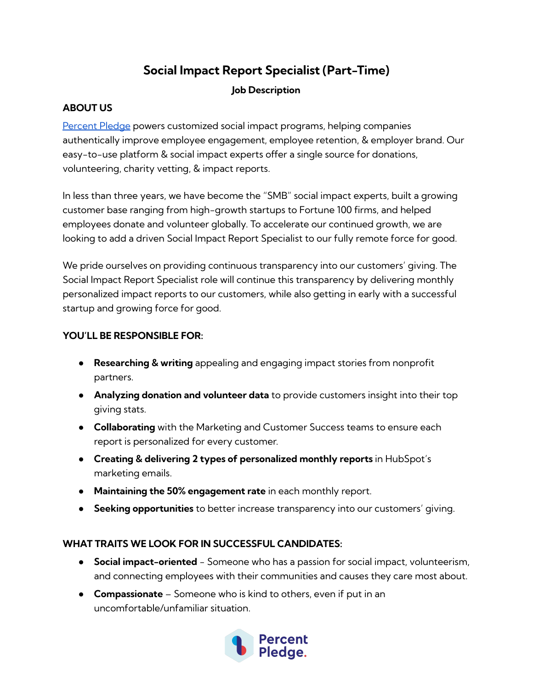# **Social Impact Report Specialist (Part-Time)**

## **Job Description**

# **ABOUT US**

[Percent](https://www.percentpledge.org/) Pledge powers customized social impact programs, helping companies authentically improve employee engagement, employee retention, & employer brand. Our easy-to-use platform & social impact experts offer a single source for donations, volunteering, charity vetting, & impact reports.

In less than three years, we have become the "SMB" social impact experts, built a growing customer base ranging from high-growth startups to Fortune 100 firms, and helped employees donate and volunteer globally. To accelerate our continued growth, we are looking to add a driven Social Impact Report Specialist to our fully remote force for good.

We pride ourselves on providing continuous transparency into our customers' giving. The Social Impact Report Specialist role will continue this transparency by delivering monthly personalized impact reports to our customers, while also getting in early with a successful startup and growing force for good.

### **YOU'LL BE RESPONSIBLE FOR:**

- **Researching & writing** appealing and engaging impact stories from nonprofit partners.
- **Analyzing donation and volunteer data** to provide customers insight into their top giving stats.
- **Collaborating** with the Marketing and Customer Success teams to ensure each report is personalized for every customer.
- **Creating & delivering 2 types of personalized monthly reports** in HubSpot's marketing emails.
- **Maintaining the 50% engagement rate** in each monthly report.
- **Seeking opportunities** to better increase transparency into our customers' giving.

#### **WHAT TRAITS WE LOOK FOR IN SUCCESSFUL CANDIDATES:**

- **Social impact-oriented** Someone who has a passion for social impact, volunteerism, and connecting employees with their communities and causes they care most about.
- **Compassionate** Someone who is kind to others, even if put in an uncomfortable/unfamiliar situation.

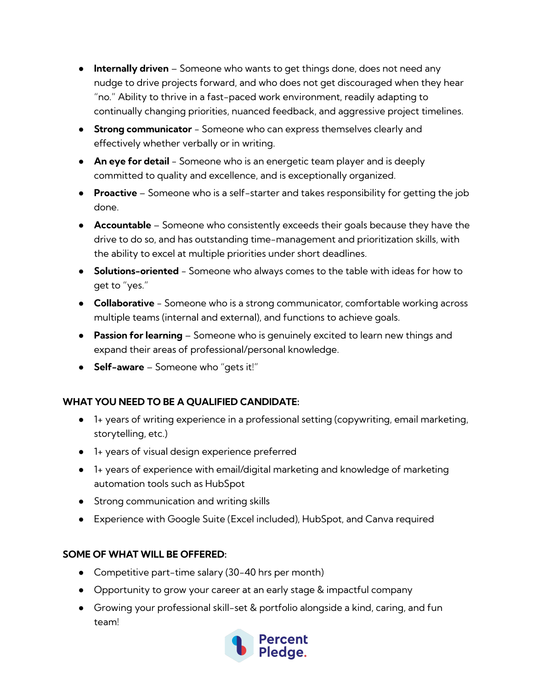- **Internally driven** Someone who wants to get things done, does not need any nudge to drive projects forward, and who does not get discouraged when they hear "no." Ability to thrive in a fast-paced work environment, readily adapting to continually changing priorities, nuanced feedback, and aggressive project timelines.
- **Strong communicator** Someone who can express themselves clearly and effectively whether verbally or in writing.
- **An eye for detail** Someone who is an energetic team player and is deeply committed to quality and excellence, and is exceptionally organized.
- **Proactive** Someone who is a self-starter and takes responsibility for getting the job done.
- **Accountable** Someone who consistently exceeds their goals because they have the drive to do so, and has outstanding time-management and prioritization skills, with the ability to excel at multiple priorities under short deadlines.
- **Solutions-oriented** Someone who always comes to the table with ideas for how to get to "yes."
- **Collaborative** Someone who is a strong communicator, comfortable working across multiple teams (internal and external), and functions to achieve goals.
- **Passion for learning** Someone who is genuinely excited to learn new things and expand their areas of professional/personal knowledge.
- **Self-aware** Someone who "gets it!"

## **WHAT YOU NEED TO BE A QUALIFIED CANDIDATE:**

- 1+ years of writing experience in a professional setting (copywriting, email marketing, storytelling, etc.)
- 1+ years of visual design experience preferred
- 1+ years of experience with email/digital marketing and knowledge of marketing automation tools such as HubSpot
- Strong communication and writing skills
- Experience with Google Suite (Excel included), HubSpot, and Canva required

## **SOME OF WHAT WILL BE OFFERED:**

- Competitive part-time salary (30-40 hrs per month)
- Opportunity to grow your career at an early stage & impactful company
- Growing your professional skill-set & portfolio alongside a kind, caring, and fun team!